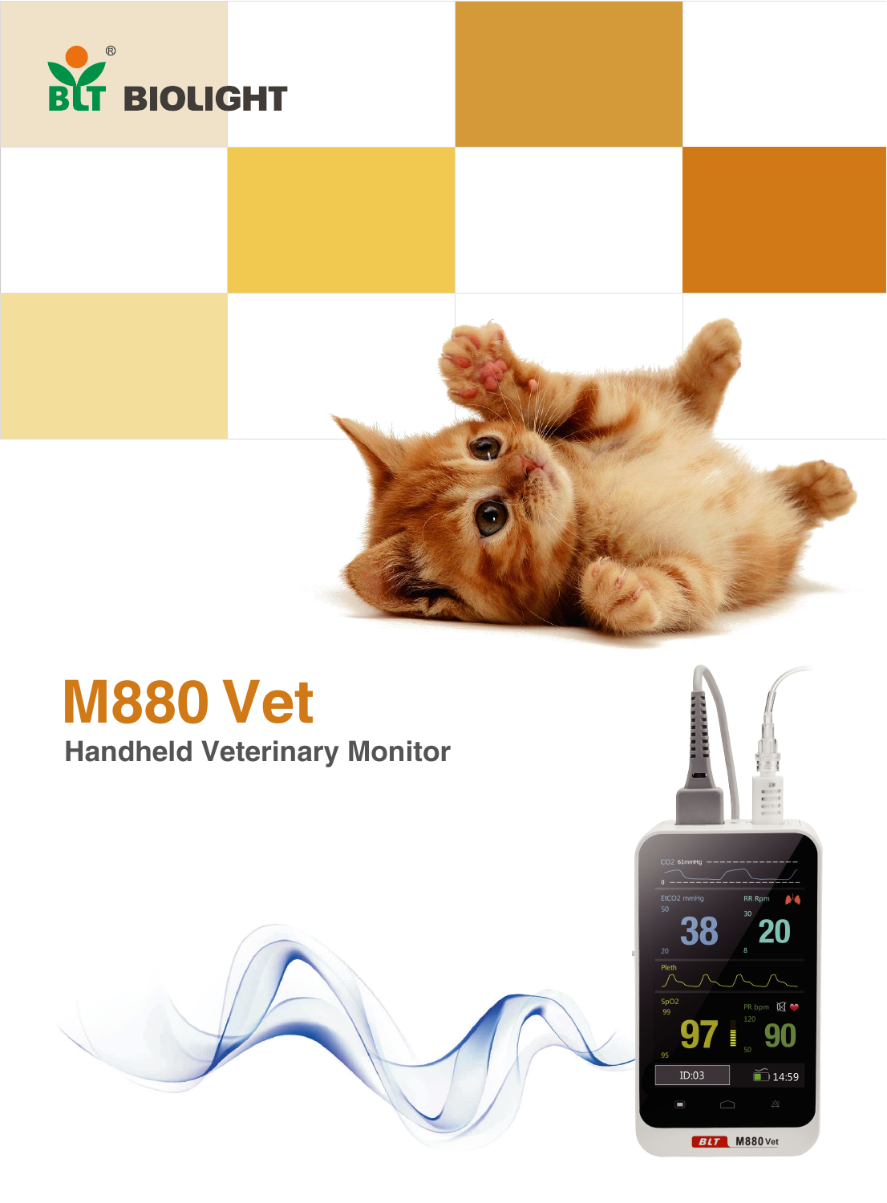

# **M880 Vet**

### **Handheld Veterinary Monitor**